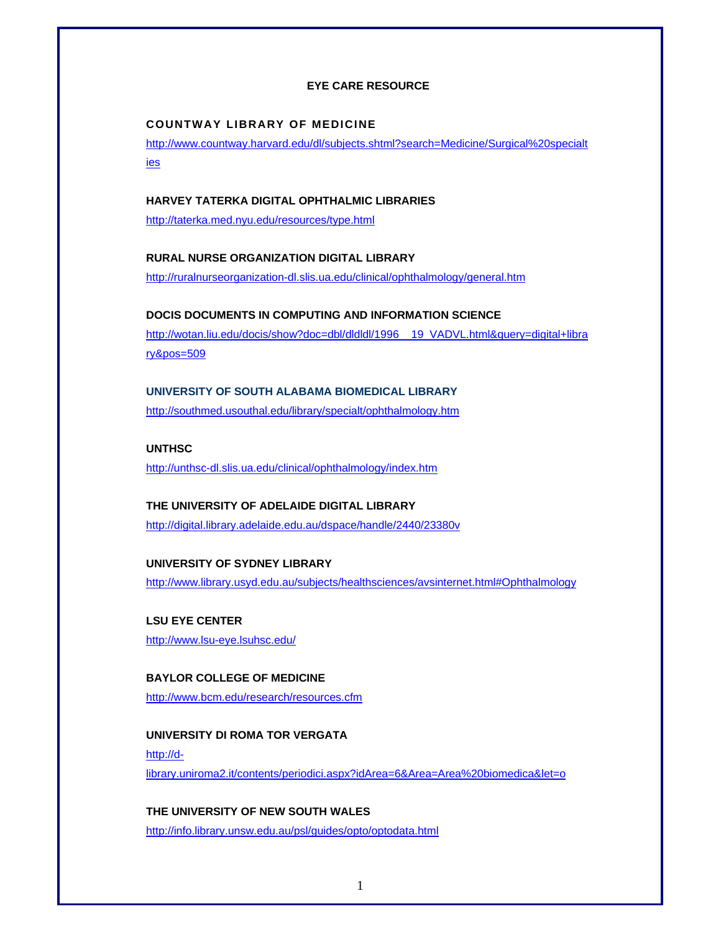#### **EYE CARE RESOURCE**

#### **COUNTWAY LIBRARY OF MEDICINE**

http://www.countway.harvard.edu/dl/subjects.shtml?search=Medicine/Surgical%20specialt ies

### **HARVEY TATERKA DIGITAL OPHTHALMIC LIBRARIES**

http://taterka.med.nyu.edu/resources/type.html

#### **RURAL NURSE ORGANIZATION DIGITAL LIBRARY**

http://ruralnurseorganization-dl.slis.ua.edu/clinical/ophthalmology/general.htm

#### **DOCIS DOCUMENTS IN COMPUTING AND INFORMATION SCIENCE**

http://wotan.liu.edu/docis/show?doc=dbl/dldldl/1996\_\_19\_VADVL.html&query=digital+libra ry&pos=509

# **UNIVERSITY OF SOUTH ALABAMA BIOMEDICAL LIBRARY**

http://southmed.usouthal.edu/library/specialt/ophthalmology.htm

#### **UNTHSC**

http://unthsc-dl.slis.ua.edu/clinical/ophthalmology/index.htm

# **THE UNIVERSITY OF ADELAIDE DIGITAL LIBRARY**

http://digital.library.adelaide.edu.au/dspace/handle/2440/23380v

### **UNIVERSITY OF SYDNEY LIBRARY**

http://www.library.usyd.edu.au/subjects/healthsciences/avsinternet.html#Ophthalmology

**LSU EYE CENTER**  http://www.lsu-eye.lsuhsc.edu/

**BAYLOR COLLEGE OF MEDICINE**  http://www.bcm.edu/research/resources.cfm

**UNIVERSITY DI ROMA TOR VERGATA**  http://dlibrary.uniroma2.it/contents/periodici.aspx?idArea=6&Area=Area%20biomedica&let=o

## **THE UNIVERSITY OF NEW SOUTH WALES**

http://info.library.unsw.edu.au/psl/guides/opto/optodata.html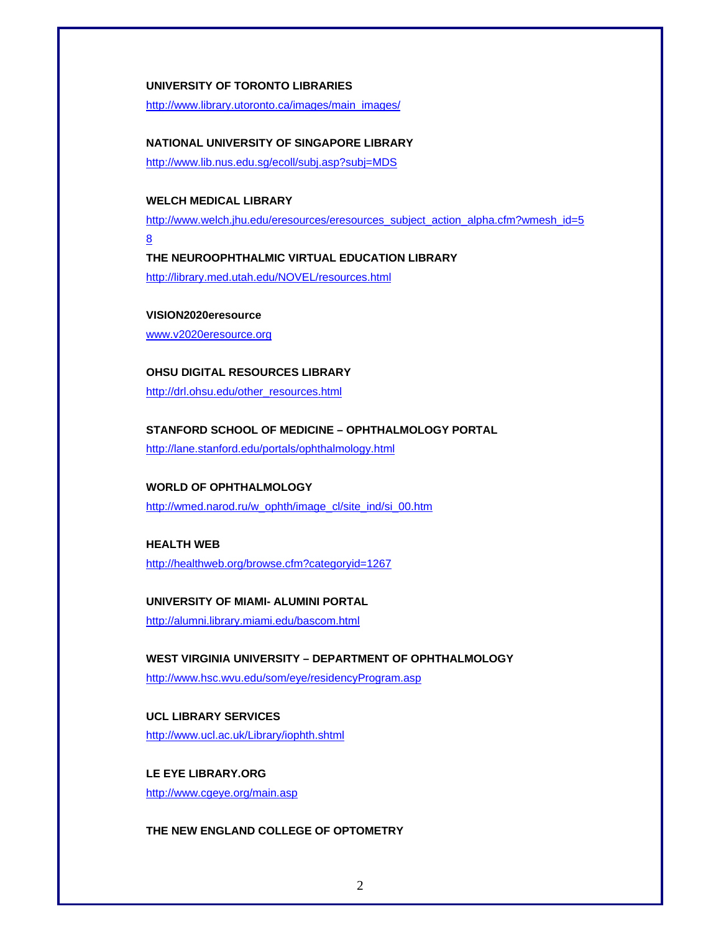#### **UNIVERSITY OF TORONTO LIBRARIES**

http://www.library.utoronto.ca/images/main\_images/

#### **NATIONAL UNIVERSITY OF SINGAPORE LIBRARY**

http://www.lib.nus.edu.sg/ecoll/subj.asp?subj=MDS

### **WELCH MEDICAL LIBRARY**

http://www.welch.jhu.edu/eresources/eresources\_subject\_action\_alpha.cfm?wmesh\_id=5

8 **THE NEUROOPHTHALMIC VIRTUAL EDUCATION LIBRARY**  http://library.med.utah.edu/NOVEL/resources.html

#### **VISION2020eresource**

www.v2020eresource.org

### **OHSU DIGITAL RESOURCES LIBRARY**

http://drl.ohsu.edu/other\_resources.html

#### **STANFORD SCHOOL OF MEDICINE – OPHTHALMOLOGY PORTAL**

http://lane.stanford.edu/portals/ophthalmology.html

### **WORLD OF OPHTHALMOLOGY**

http://wmed.narod.ru/w\_ophth/image\_cl/site\_ind/si\_00.htm

### **HEALTH WEB**

http://healthweb.org/browse.cfm?categoryid=1267

### **UNIVERSITY OF MIAMI- ALUMINI PORTAL**

http://alumni.library.miami.edu/bascom.html

#### **WEST VIRGINIA UNIVERSITY – DEPARTMENT OF OPHTHALMOLOGY**

http://www.hsc.wvu.edu/som/eye/residencyProgram.asp

### **UCL LIBRARY SERVICES** http://www.ucl.ac.uk/Library/iophth.shtml

**LE EYE LIBRARY.ORG**  http://www.cgeye.org/main.asp

### **THE NEW ENGLAND COLLEGE OF OPTOMETRY**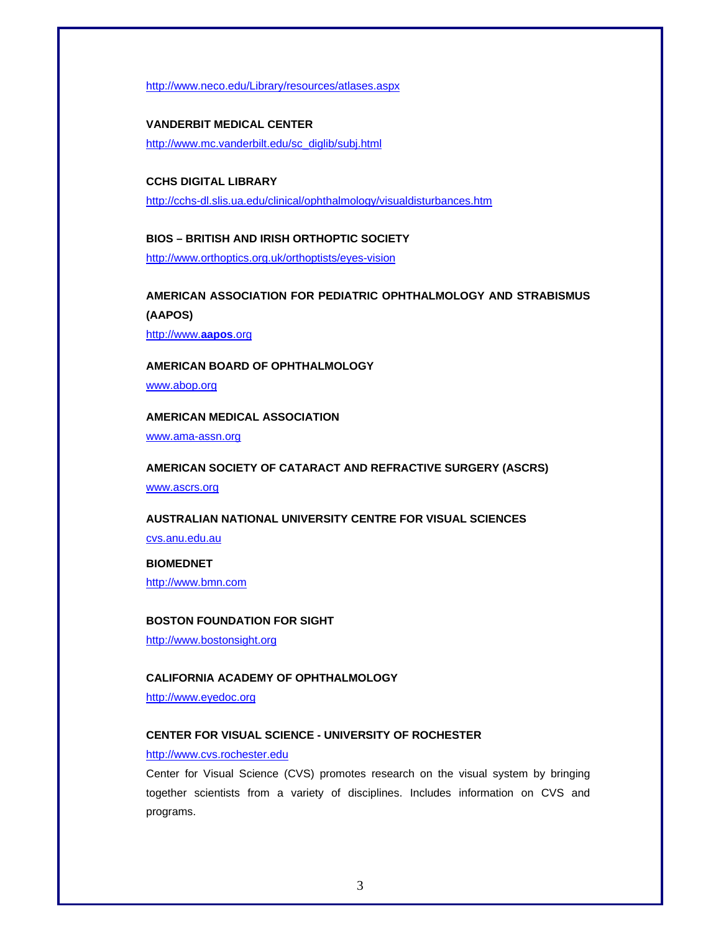http://www.neco.edu/Library/resources/atlases.aspx

## **VANDERBIT MEDICAL CENTER**

http://www.mc.vanderbilt.edu/sc\_diglib/subj.html

### **CCHS DIGITAL LIBRARY**

http://cchs-dl.slis.ua.edu/clinical/ophthalmology/visualdisturbances.htm

### **BIOS – BRITISH AND IRISH ORTHOPTIC SOCIETY**  http://www.orthoptics.org.uk/orthoptists/eyes-vision

**AMERICAN ASSOCIATION FOR PEDIATRIC OPHTHALMOLOGY AND STRABISMUS (AAPOS)** 

http://www.**aapos**.org

### **AMERICAN BOARD OF OPHTHALMOLOGY**

www.abop.org

#### **AMERICAN MEDICAL ASSOCIATION**

www.ama-assn.org

#### **AMERICAN SOCIETY OF CATARACT AND REFRACTIVE SURGERY (ASCRS)**

www.ascrs.org

#### **AUSTRALIAN NATIONAL UNIVERSITY CENTRE FOR VISUAL SCIENCES**

cvs.anu.edu.au

#### **BIOMEDNET**

http://www.bmn.com

#### **BOSTON FOUNDATION FOR SIGHT**

http://www.bostonsight.org

#### **CALIFORNIA ACADEMY OF OPHTHALMOLOGY**

http://www.eyedoc.org

#### **CENTER FOR VISUAL SCIENCE - UNIVERSITY OF ROCHESTER**

#### http://www.cvs.rochester.edu

Center for Visual Science (CVS) promotes research on the visual system by bringing together scientists from a variety of disciplines. Includes information on CVS and programs.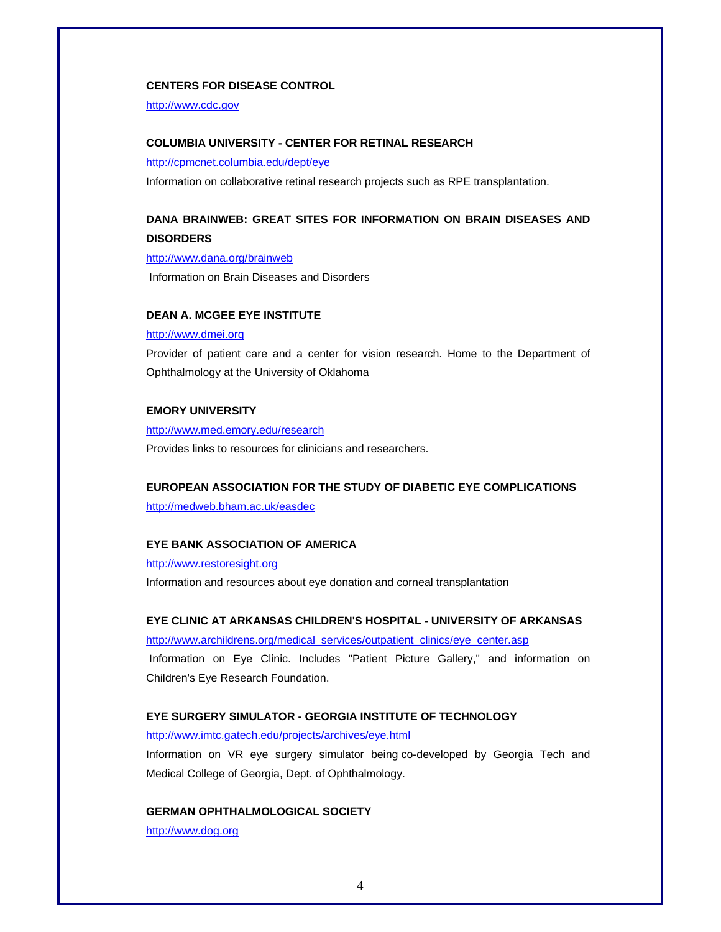#### **CENTERS FOR DISEASE CONTROL**

http://www.cdc.gov

#### **COLUMBIA UNIVERSITY - CENTER FOR RETINAL RESEARCH**

http://cpmcnet.columbia.edu/dept/eye

Information on collaborative retinal research projects such as RPE transplantation.

### **DANA BRAINWEB: GREAT SITES FOR INFORMATION ON BRAIN DISEASES AND DISORDERS**

http://www.dana.org/brainweb

Information on Brain Diseases and Disorders

#### **DEAN A. MCGEE EYE INSTITUTE**

#### http://www.dmei.org

Provider of patient care and a center for vision research. Home to the Department of Ophthalmology at the University of Oklahoma

#### **EMORY UNIVERSITY**

http://www.med.emory.edu/research

Provides links to resources for clinicians and researchers.

#### **EUROPEAN ASSOCIATION FOR THE STUDY OF DIABETIC EYE COMPLICATIONS**

http://medweb.bham.ac.uk/easdec

#### **EYE BANK ASSOCIATION OF AMERICA**

http://www.restoresight.org

Information and resources about eye donation and corneal transplantation

#### **EYE CLINIC AT ARKANSAS CHILDREN'S HOSPITAL - UNIVERSITY OF ARKANSAS**

http://www.archildrens.org/medical\_services/outpatient\_clinics/eye\_center.asp Information on Eye Clinic. Includes "Patient Picture Gallery," and information on Children's Eye Research Foundation.

#### **EYE SURGERY SIMULATOR - GEORGIA INSTITUTE OF TECHNOLOGY**

http://www.imtc.gatech.edu/projects/archives/eye.html

Information on VR eye surgery simulator being co-developed by Georgia Tech and Medical College of Georgia, Dept. of Ophthalmology.

#### **GERMAN OPHTHALMOLOGICAL SOCIETY**

http://www.dog.org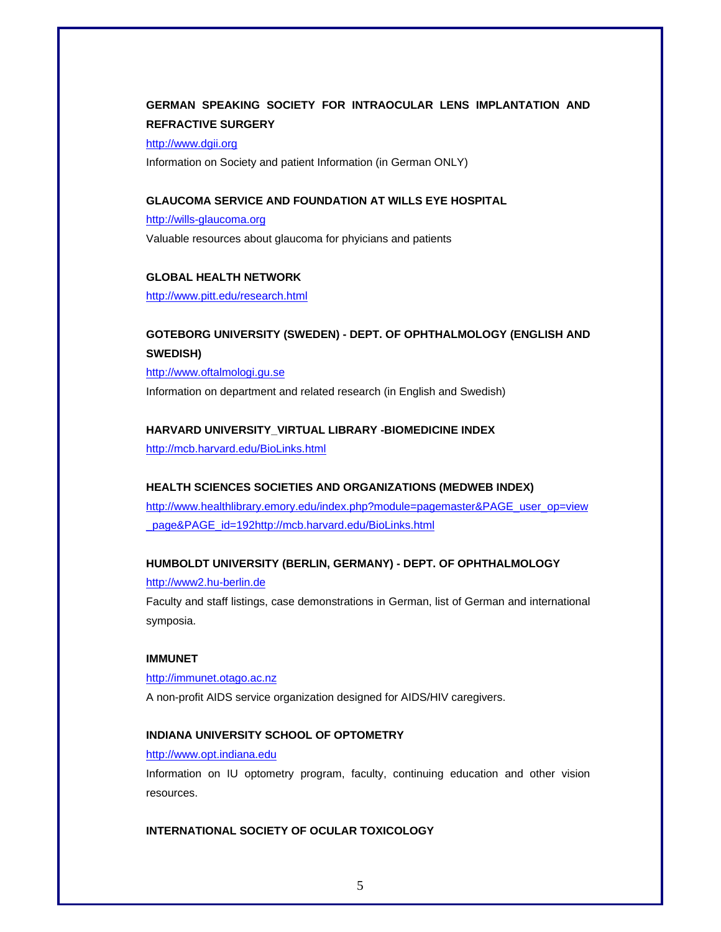### **GERMAN SPEAKING SOCIETY FOR INTRAOCULAR LENS IMPLANTATION AND REFRACTIVE SURGERY**

http://www.dgii.org

Information on Society and patient Information (in German ONLY)

### **GLAUCOMA SERVICE AND FOUNDATION AT WILLS EYE HOSPITAL**

http://wills-glaucoma.org

Valuable resources about glaucoma for phyicians and patients

#### **GLOBAL HEALTH NETWORK**

http://www.pitt.edu/research.html

### **GOTEBORG UNIVERSITY (SWEDEN) - DEPT. OF OPHTHALMOLOGY (ENGLISH AND SWEDISH)**

http://www.oftalmologi.gu.se

Information on department and related research (in English and Swedish)

#### **HARVARD UNIVERSITY\_VIRTUAL LIBRARY -BIOMEDICINE INDEX**

http://mcb.harvard.edu/BioLinks.html

#### **HEALTH SCIENCES SOCIETIES AND ORGANIZATIONS (MEDWEB INDEX)**

http://www.healthlibrary.emory.edu/index.php?module=pagemaster&PAGE\_user\_op=view \_page&PAGE\_id=192http://mcb.harvard.edu/BioLinks.html

#### **HUMBOLDT UNIVERSITY (BERLIN, GERMANY) - DEPT. OF OPHTHALMOLOGY**

#### http://www2.hu-berlin.de

Faculty and staff listings, case demonstrations in German, list of German and international symposia.

#### **IMMUNET**

http://immunet.otago.ac.nz

A non-profit AIDS service organization designed for AIDS/HIV caregivers.

#### **INDIANA UNIVERSITY SCHOOL OF OPTOMETRY**

http://www.opt.indiana.edu

Information on IU optometry program, faculty, continuing education and other vision resources.

#### **INTERNATIONAL SOCIETY OF OCULAR TOXICOLOGY**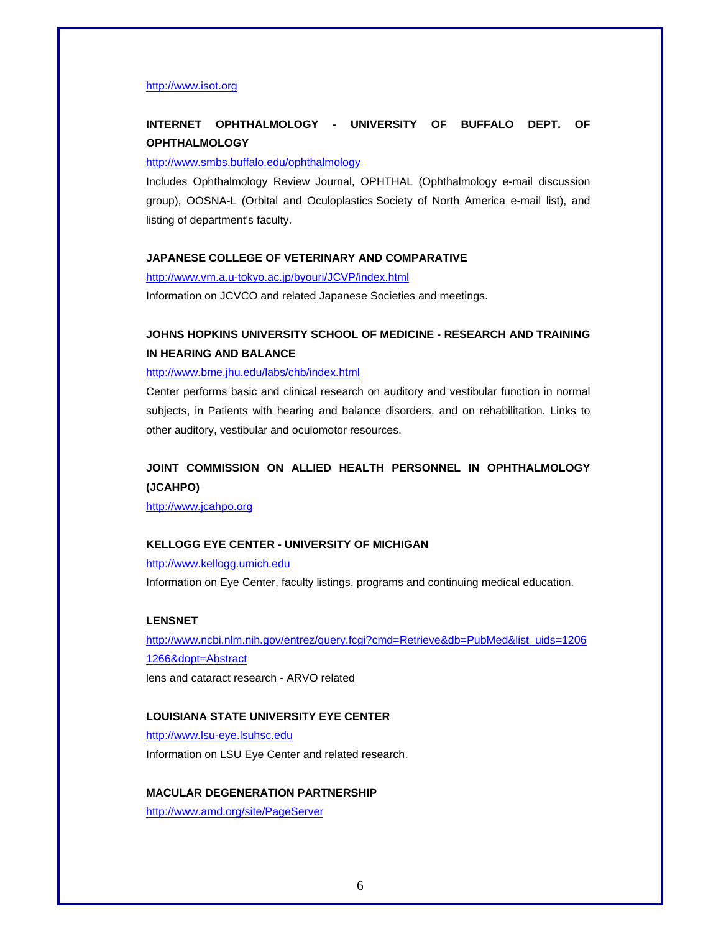#### http://www.isot.org

### **INTERNET OPHTHALMOLOGY - UNIVERSITY OF BUFFALO DEPT. OF OPHTHALMOLOGY**

#### http://www.smbs.buffalo.edu/ophthalmology

Includes Ophthalmology Review Journal, OPHTHAL (Ophthalmology e-mail discussion group), OOSNA-L (Orbital and Oculoplastics Society of North America e-mail list), and listing of department's faculty.

#### **JAPANESE COLLEGE OF VETERINARY AND COMPARATIVE**

http://www.vm.a.u-tokyo.ac.jp/byouri/JCVP/index.html

Information on JCVCO and related Japanese Societies and meetings.

### **JOHNS HOPKINS UNIVERSITY SCHOOL OF MEDICINE - RESEARCH AND TRAINING IN HEARING AND BALANCE**

#### http://www.bme.jhu.edu/labs/chb/index.html

Center performs basic and clinical research on auditory and vestibular function in normal subjects, in Patients with hearing and balance disorders, and on rehabilitation. Links to other auditory, vestibular and oculomotor resources.

### **JOINT COMMISSION ON ALLIED HEALTH PERSONNEL IN OPHTHALMOLOGY (JCAHPO)**

http://www.jcahpo.org

#### **KELLOGG EYE CENTER - UNIVERSITY OF MICHIGAN**

#### http://www.kellogg.umich.edu

Information on Eye Center, faculty listings, programs and continuing medical education.

#### **LENSNET**

http://www.ncbi.nlm.nih.gov/entrez/query.fcgi?cmd=Retrieve&db=PubMed&list\_uids=1206 1266&dopt=Abstract lens and cataract research - ARVO related

#### **LOUISIANA STATE UNIVERSITY EYE CENTER**

http://www.lsu-eye.lsuhsc.edu Information on LSU Eye Center and related research.

#### **MACULAR DEGENERATION PARTNERSHIP**

http://www.amd.org/site/PageServer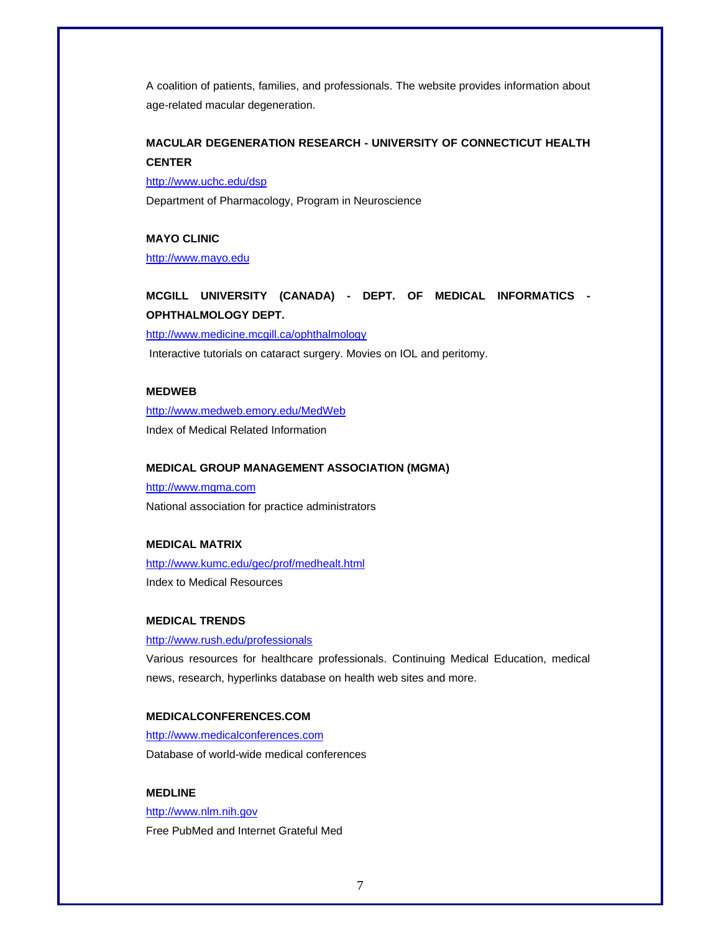A coalition of patients, families, and professionals. The website provides information about age-related macular degeneration.

### **MACULAR DEGENERATION RESEARCH - UNIVERSITY OF CONNECTICUT HEALTH CENTER**

http://www.uchc.edu/dsp

Department of Pharmacology, Program in Neuroscience

#### **MAYO CLINIC**

http://www.mayo.edu

**MCGILL UNIVERSITY (CANADA) - DEPT. OF MEDICAL INFORMATICS - OPHTHALMOLOGY DEPT.** 

http://www.medicine.mcgill.ca/ophthalmology

Interactive tutorials on cataract surgery. Movies on IOL and peritomy.

### **MEDWEB**

http://www.medweb.emory.edu/MedWeb Index of Medical Related Information

### **MEDICAL GROUP MANAGEMENT ASSOCIATION (MGMA)**

http://www.mgma.com National association for practice administrators

#### **MEDICAL MATRIX**

http://www.kumc.edu/gec/prof/medhealt.html Index to Medical Resources

#### **MEDICAL TRENDS**

http://www.rush.edu/professionals

Various resources for healthcare professionals. Continuing Medical Education, medical news, research, hyperlinks database on health web sites and more.

#### **MEDICALCONFERENCES.COM**

http://www.medicalconferences.com Database of world-wide medical conferences

#### **MEDLINE**

http://www.nlm.nih.gov Free PubMed and Internet Grateful Med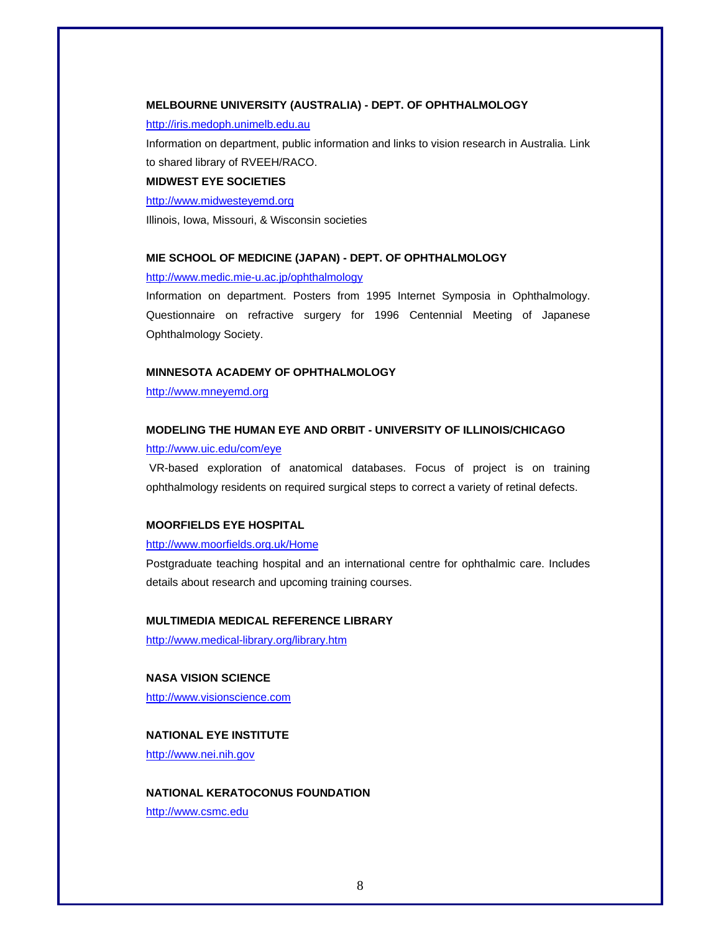#### **MELBOURNE UNIVERSITY (AUSTRALIA) - DEPT. OF OPHTHALMOLOGY**

#### http://iris.medoph.unimelb.edu.au

Information on department, public information and links to vision research in Australia. Link to shared library of RVEEH/RACO.

#### **MIDWEST EYE SOCIETIES**

http://www.midwesteyemd.org

Illinois, Iowa, Missouri, & Wisconsin societies

#### **MIE SCHOOL OF MEDICINE (JAPAN) - DEPT. OF OPHTHALMOLOGY**

http://www.medic.mie-u.ac.jp/ophthalmology

Information on department. Posters from 1995 Internet Symposia in Ophthalmology. Questionnaire on refractive surgery for 1996 Centennial Meeting of Japanese Ophthalmology Society.

#### **MINNESOTA ACADEMY OF OPHTHALMOLOGY**

http://www.mneyemd.org

#### **MODELING THE HUMAN EYE AND ORBIT - UNIVERSITY OF ILLINOIS/CHICAGO**

#### http://www.uic.edu/com/eye

 VR-based exploration of anatomical databases. Focus of project is on training ophthalmology residents on required surgical steps to correct a variety of retinal defects.

#### **MOORFIELDS EYE HOSPITAL**

#### http://www.moorfields.org.uk/Home

Postgraduate teaching hospital and an international centre for ophthalmic care. Includes details about research and upcoming training courses.

#### **MULTIMEDIA MEDICAL REFERENCE LIBRARY**

http://www.medical-library.org/library.htm

#### **NASA VISION SCIENCE**

http://www.visionscience.com

#### **NATIONAL EYE INSTITUTE**

http://www.nei.nih.gov

### **NATIONAL KERATOCONUS FOUNDATION**  http://www.csmc.edu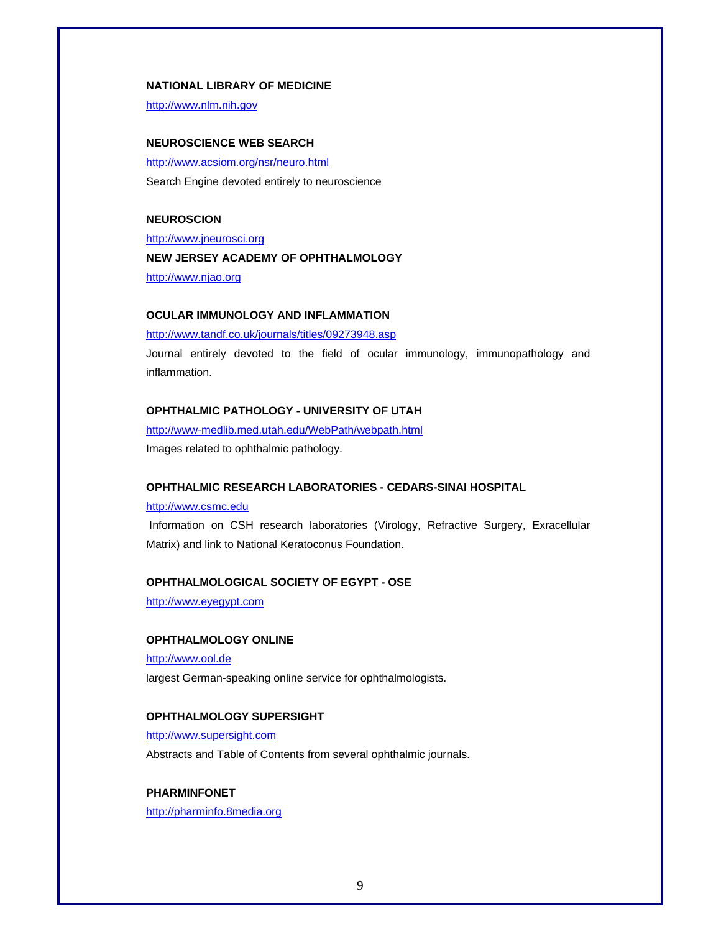#### **NATIONAL LIBRARY OF MEDICINE**

http://www.nlm.nih.gov

#### **NEUROSCIENCE WEB SEARCH**

http://www.acsiom.org/nsr/neuro.html Search Engine devoted entirely to neuroscience

#### **NEUROSCION**

http://www.jneurosci.org

#### **NEW JERSEY ACADEMY OF OPHTHALMOLOGY**

http://www.njao.org

#### **OCULAR IMMUNOLOGY AND INFLAMMATION**

http://www.tandf.co.uk/journals/titles/09273948.asp

Journal entirely devoted to the field of ocular immunology, immunopathology and inflammation.

#### **OPHTHALMIC PATHOLOGY - UNIVERSITY OF UTAH**

http://www-medlib.med.utah.edu/WebPath/webpath.html Images related to ophthalmic pathology.

#### **OPHTHALMIC RESEARCH LABORATORIES - CEDARS-SINAI HOSPITAL**

#### http://www.csmc.edu

 Information on CSH research laboratories (Virology, Refractive Surgery, Exracellular Matrix) and link to National Keratoconus Foundation.

#### **OPHTHALMOLOGICAL SOCIETY OF EGYPT - OSE**

http://www.eyegypt.com

#### **OPHTHALMOLOGY ONLINE**

http://www.ool.de largest German-speaking online service for ophthalmologists.

#### **OPHTHALMOLOGY SUPERSIGHT**

http://www.supersight.com Abstracts and Table of Contents from several ophthalmic journals.

#### **PHARMINFONET**

http://pharminfo.8media.org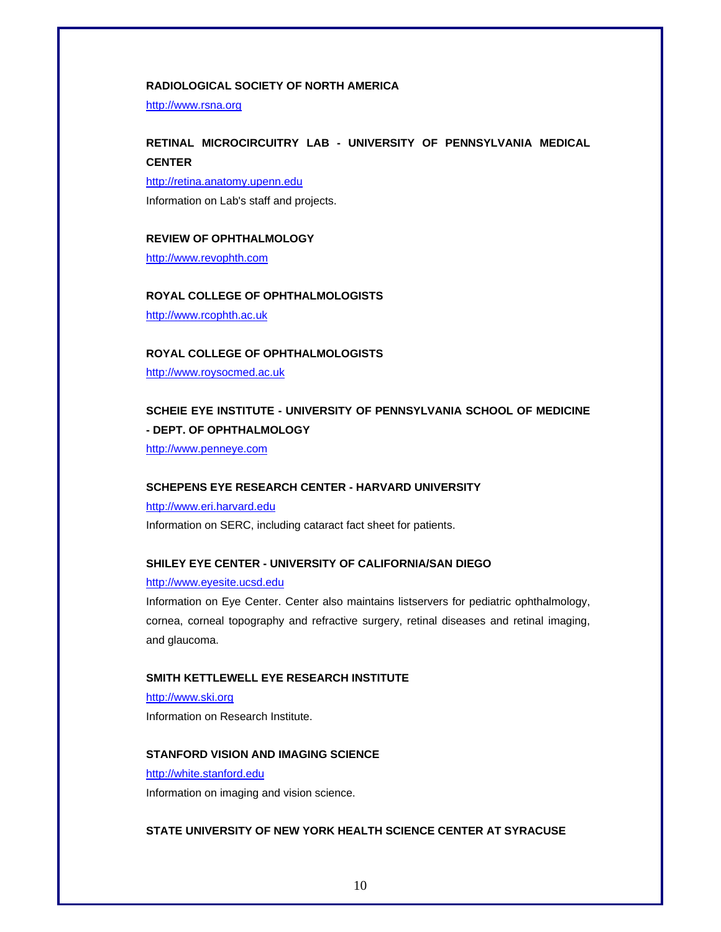### **RADIOLOGICAL SOCIETY OF NORTH AMERICA**

http://www.rsna.org

### **RETINAL MICROCIRCUITRY LAB - UNIVERSITY OF PENNSYLVANIA MEDICAL CENTER**

http://retina.anatomy.upenn.edu

Information on Lab's staff and projects.

#### **REVIEW OF OPHTHALMOLOGY**

http://www.revophth.com

#### **ROYAL COLLEGE OF OPHTHALMOLOGISTS**

http://www.rcophth.ac.uk

#### **ROYAL COLLEGE OF OPHTHALMOLOGISTS**

http://www.roysocmed.ac.uk

### **SCHEIE EYE INSTITUTE - UNIVERSITY OF PENNSYLVANIA SCHOOL OF MEDICINE - DEPT. OF OPHTHALMOLOGY**

http://www.penneye.com

#### **SCHEPENS EYE RESEARCH CENTER - HARVARD UNIVERSITY**

http://www.eri.harvard.edu Information on SERC, including cataract fact sheet for patients.

#### **SHILEY EYE CENTER - UNIVERSITY OF CALIFORNIA/SAN DIEGO**

#### http://www.eyesite.ucsd.edu

Information on Eye Center. Center also maintains listservers for pediatric ophthalmology, cornea, corneal topography and refractive surgery, retinal diseases and retinal imaging, and glaucoma.

#### **SMITH KETTLEWELL EYE RESEARCH INSTITUTE**

http://www.ski.org Information on Research Institute.

#### **STANFORD VISION AND IMAGING SCIENCE**

#### http://white.stanford.edu

Information on imaging and vision science.

#### **STATE UNIVERSITY OF NEW YORK HEALTH SCIENCE CENTER AT SYRACUSE**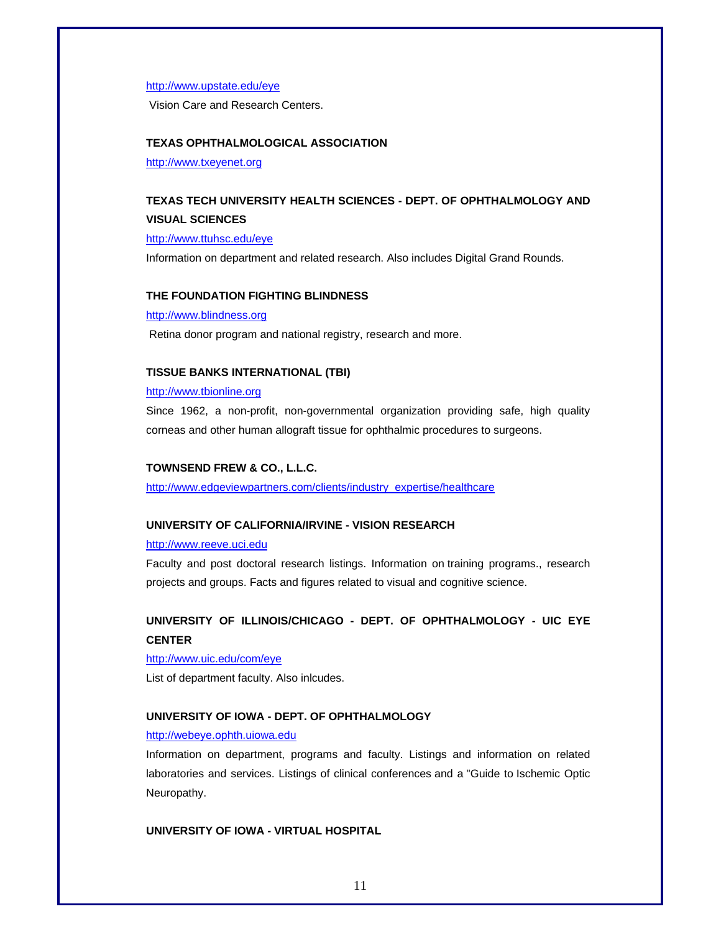#### http://www.upstate.edu/eye

Vision Care and Research Centers.

#### **TEXAS OPHTHALMOLOGICAL ASSOCIATION**

http://www.txeyenet.org

### **TEXAS TECH UNIVERSITY HEALTH SCIENCES - DEPT. OF OPHTHALMOLOGY AND VISUAL SCIENCES**

http://www.ttuhsc.edu/eye

Information on department and related research. Also includes Digital Grand Rounds.

#### **THE FOUNDATION FIGHTING BLINDNESS**

http://www.blindness.org

Retina donor program and national registry, research and more.

#### **TISSUE BANKS INTERNATIONAL (TBI)**

#### http://www.tbionline.org

Since 1962, a non-profit, non-governmental organization providing safe, high quality corneas and other human allograft tissue for ophthalmic procedures to surgeons.

#### **TOWNSEND FREW & CO., L.L.C.**

http://www.edgeviewpartners.com/clients/industry\_expertise/healthcare

#### **UNIVERSITY OF CALIFORNIA/IRVINE - VISION RESEARCH**

#### http://www.reeve.uci.edu

Faculty and post doctoral research listings. Information on training programs., research projects and groups. Facts and figures related to visual and cognitive science.

### **UNIVERSITY OF ILLINOIS/CHICAGO - DEPT. OF OPHTHALMOLOGY - UIC EYE CENTER**

#### http://www.uic.edu/com/eye

List of department faculty. Also inlcudes.

#### **UNIVERSITY OF IOWA - DEPT. OF OPHTHALMOLOGY**

#### http://webeye.ophth.uiowa.edu

Information on department, programs and faculty. Listings and information on related laboratories and services. Listings of clinical conferences and a "Guide to Ischemic Optic Neuropathy.

#### **UNIVERSITY OF IOWA - VIRTUAL HOSPITAL**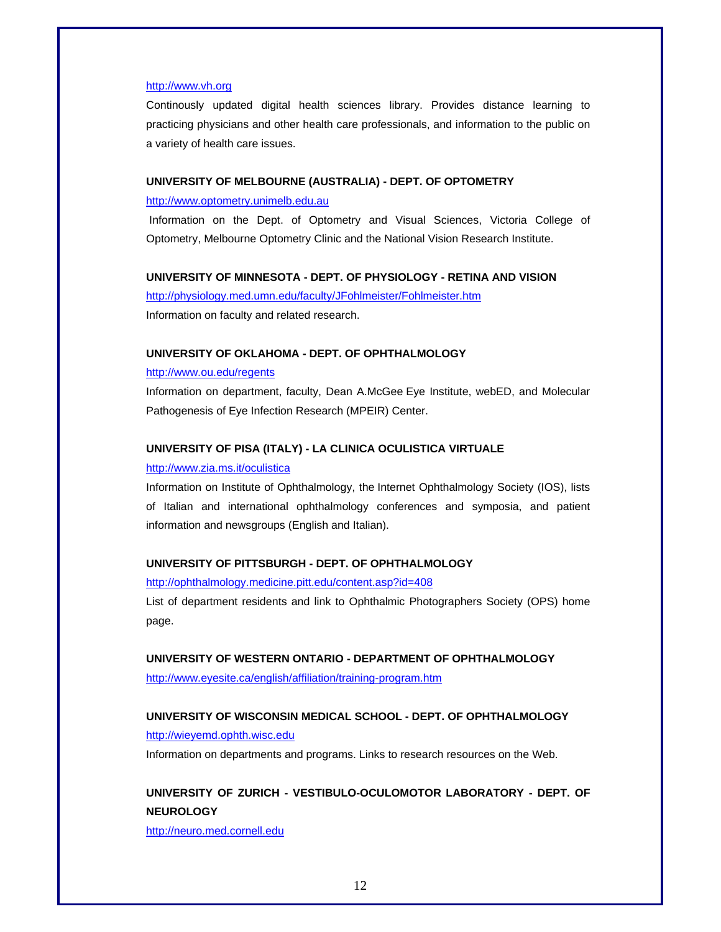#### http://www.vh.org

Continously updated digital health sciences library. Provides distance learning to practicing physicians and other health care professionals, and information to the public on a variety of health care issues.

#### **UNIVERSITY OF MELBOURNE (AUSTRALIA) - DEPT. OF OPTOMETRY**

#### http://www.optometry.unimelb.edu.au

 Information on the Dept. of Optometry and Visual Sciences, Victoria College of Optometry, Melbourne Optometry Clinic and the National Vision Research Institute.

#### **UNIVERSITY OF MINNESOTA - DEPT. OF PHYSIOLOGY - RETINA AND VISION**

http://physiology.med.umn.edu/faculty/JFohlmeister/Fohlmeister.htm Information on faculty and related research.

#### **UNIVERSITY OF OKLAHOMA - DEPT. OF OPHTHALMOLOGY**

#### http://www.ou.edu/regents

Information on department, faculty, Dean A.McGee Eye Institute, webED, and Molecular Pathogenesis of Eye Infection Research (MPEIR) Center.

#### **UNIVERSITY OF PISA (ITALY) - LA CLINICA OCULISTICA VIRTUALE**

#### http://www.zia.ms.it/oculistica

Information on Institute of Ophthalmology, the Internet Ophthalmology Society (IOS), lists of Italian and international ophthalmology conferences and symposia, and patient information and newsgroups (English and Italian).

#### **UNIVERSITY OF PITTSBURGH - DEPT. OF OPHTHALMOLOGY**

http://ophthalmology.medicine.pitt.edu/content.asp?id=408

List of department residents and link to Ophthalmic Photographers Society (OPS) home page.

#### **UNIVERSITY OF WESTERN ONTARIO - DEPARTMENT OF OPHTHALMOLOGY**

http://www.eyesite.ca/english/affiliation/training-program.htm

#### **UNIVERSITY OF WISCONSIN MEDICAL SCHOOL - DEPT. OF OPHTHALMOLOGY**

#### http://wieyemd.ophth.wisc.edu

Information on departments and programs. Links to research resources on the Web.

### **UNIVERSITY OF ZURICH - VESTIBULO-OCULOMOTOR LABORATORY - DEPT. OF NEUROLOGY**

http://neuro.med.cornell.edu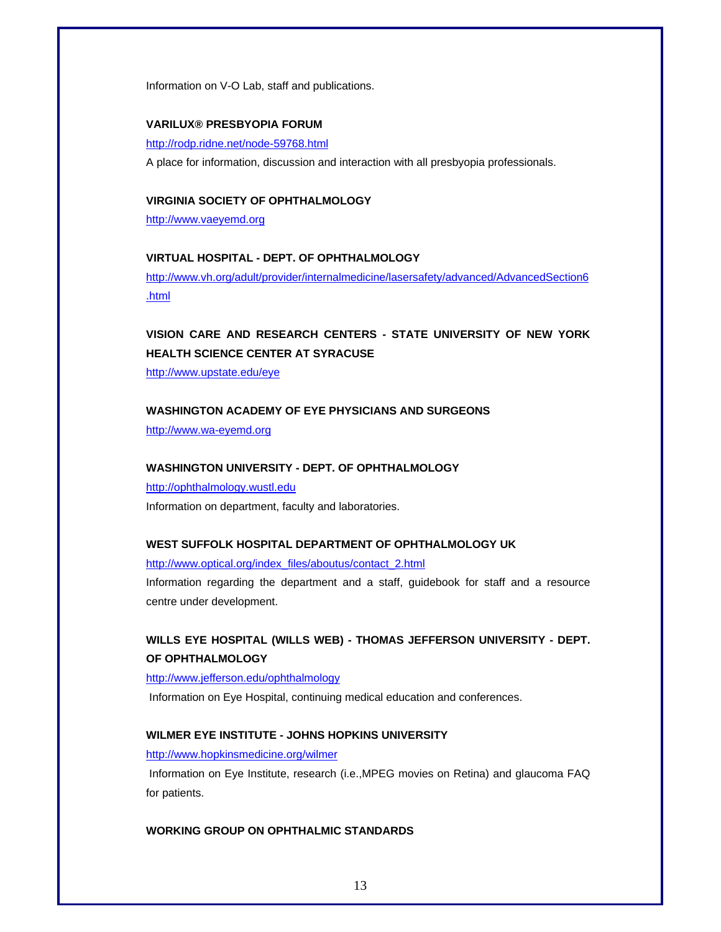Information on V-O Lab, staff and publications.

#### **VARILUX® PRESBYOPIA FORUM**

http://rodp.ridne.net/node-59768.html

A place for information, discussion and interaction with all presbyopia professionals.

#### **VIRGINIA SOCIETY OF OPHTHALMOLOGY**

http://www.vaeyemd.org

#### **VIRTUAL HOSPITAL - DEPT. OF OPHTHALMOLOGY**

http://www.vh.org/adult/provider/internalmedicine/lasersafety/advanced/AdvancedSection6 .html

### **VISION CARE AND RESEARCH CENTERS - STATE UNIVERSITY OF NEW YORK HEALTH SCIENCE CENTER AT SYRACUSE**

http://www.upstate.edu/eye

#### **WASHINGTON ACADEMY OF EYE PHYSICIANS AND SURGEONS**

http://www.wa-eyemd.org

#### **WASHINGTON UNIVERSITY - DEPT. OF OPHTHALMOLOGY**

http://ophthalmology.wustl.edu Information on department, faculty and laboratories.

#### **WEST SUFFOLK HOSPITAL DEPARTMENT OF OPHTHALMOLOGY UK**

http://www.optical.org/index\_files/aboutus/contact\_2.html

Information regarding the department and a staff, guidebook for staff and a resource centre under development.

### **WILLS EYE HOSPITAL (WILLS WEB) - THOMAS JEFFERSON UNIVERSITY - DEPT. OF OPHTHALMOLOGY**

#### http://www.jefferson.edu/ophthalmology

Information on Eye Hospital, continuing medical education and conferences.

#### **WILMER EYE INSTITUTE - JOHNS HOPKINS UNIVERSITY**

#### http://www.hopkinsmedicine.org/wilmer

 Information on Eye Institute, research (i.e.,MPEG movies on Retina) and glaucoma FAQ for patients.

#### **WORKING GROUP ON OPHTHALMIC STANDARDS**